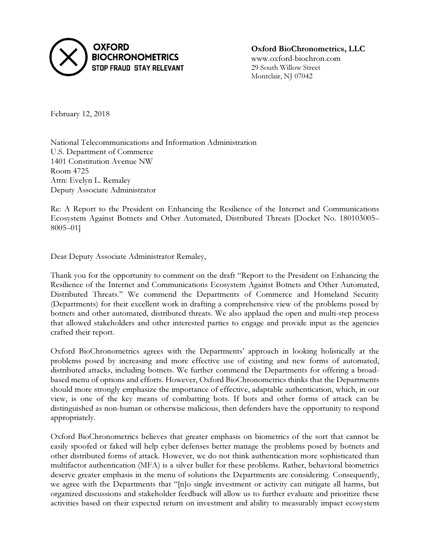

Oxford BioChronometrics, LLC www.oxford-biochron.com 29 South Willow Street Montclair, NJ 07042

February 12, 2018

National Telecommunications and Information Administration U.S. Department of Commerce 1401 Constitution Avenue NW Room 4725 Attn: Evelyn L. Remaley Deputy Associate Administrator

Re: A Report to the President on Enhancing the Resilience of the Internet and Communications Ecosystem Against Botnets and Other Automated, Distributed Threats [Docket No. 180103005– 8005–01]

Dear Deputy Associate Administrator Remaley,

Thank you for the opportunity to comment on the draft "Report to the President on Enhancing the Resilience of the Internet and Communications Ecosystem Against Botnets and Other Automated, Distributed Threats." We commend the Departments of Commerce and Homeland Security (Departments) for their excellent work in drafting a comprehensive view of the problems posed by botnets and other automated, distributed threats. We also applaud the open and multi-step process that allowed stakeholders and other interested parties to engage and provide input as the agencies crafted their report.

Oxford BioChronometrics agrees with the Departments' approach in looking holistically at the problems posed by increasing and more effective use of existing and new forms of automated, distributed attacks, including botnets. We further commend the Departments for offering a broadbased menu of options and efforts. However, Oxford BioChronometrics thinks that the Departments should more strongly emphasize the importance of effective, adaptable authentication, which, in our view, is one of the key means of combatting bots. If bots and other forms of attack can be distinguished as non-human or otherwise malicious, then defenders have the opportunity to respond appropriately.

Oxford BioChronometrics believes that greater emphasis on biometrics of the sort that cannot be easily spoofed or faked will help cyber defenses better manage the problems posed by botnets and other distributed forms of attack. However, we do not think authentication more sophisticated than multifactor authentication (MFA) is a silver bullet for these problems. Rather, behavioral biometrics deserve greater emphasis in the menu of solutions the Departments are considering. Consequently, we agree with the Departments that "[n]o single investment or activity can mitigate all harms, but organized discussions and stakeholder feedback will allow us to further evaluate and prioritize these activities based on their expected return on investment and ability to measurably impact ecosystem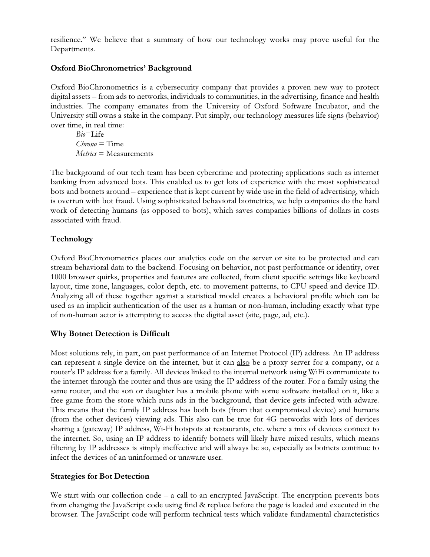resilience." We believe that a summary of how our technology works may prove useful for the Departments.

## Oxford BioChronometrics' Background

Oxford BioChronometrics is a cybersecurity company that provides a proven new way to protect digital assets – from ads to networks, individuals to communities, in the advertising, finance and health industries. The company emanates from the University of Oxford Software Incubator, and the University still owns a stake in the company. Put simply, our technology measures life signs (behavior) over time, in real time:

 $Bio=Life$  $Chrono = Time$  $Metrics = Measurements$ 

The background of our tech team has been cybercrime and protecting applications such as internet banking from advanced bots. This enabled us to get lots of experience with the most sophisticated bots and botnets around – experience that is kept current by wide use in the field of advertising, which is overrun with bot fraud. Using sophisticated behavioral biometrics, we help companies do the hard work of detecting humans (as opposed to bots), which saves companies billions of dollars in costs associated with fraud.

## Technology

Oxford BioChronometrics places our analytics code on the server or site to be protected and can stream behavioral data to the backend. Focusing on behavior, not past performance or identity, over 1000 browser quirks, properties and features are collected, from client specific settings like keyboard layout, time zone, languages, color depth, etc. to movement patterns, to CPU speed and device ID. Analyzing all of these together against a statistical model creates a behavioral profile which can be used as an implicit authentication of the user as a human or non-human, including exactly what type of non-human actor is attempting to access the digital asset (site, page, ad, etc.).

#### Why Botnet Detection is Difficult

Most solutions rely, in part, on past performance of an Internet Protocol (IP) address. An IP address can represent a single device on the internet, but it can also be a proxy server for a company, or a router's IP address for a family. All devices linked to the internal network using WiFi communicate to the internet through the router and thus are using the IP address of the router. For a family using the same router, and the son or daughter has a mobile phone with some software installed on it, like a free game from the store which runs ads in the background, that device gets infected with adware. This means that the family IP address has both bots (from that compromised device) and humans (from the other devices) viewing ads. This also can be true for 4G networks with lots of devices sharing a (gateway) IP address, Wi-Fi hotspots at restaurants, etc. where a mix of devices connect to the internet. So, using an IP address to identify botnets will likely have mixed results, which means filtering by IP addresses is simply ineffective and will always be so, especially as botnets continue to infect the devices of an uninformed or unaware user.

#### Strategies for Bot Detection

We start with our collection code – a call to an encrypted JavaScript. The encryption prevents bots from changing the JavaScript code using find & replace before the page is loaded and executed in the browser. The JavaScript code will perform technical tests which validate fundamental characteristics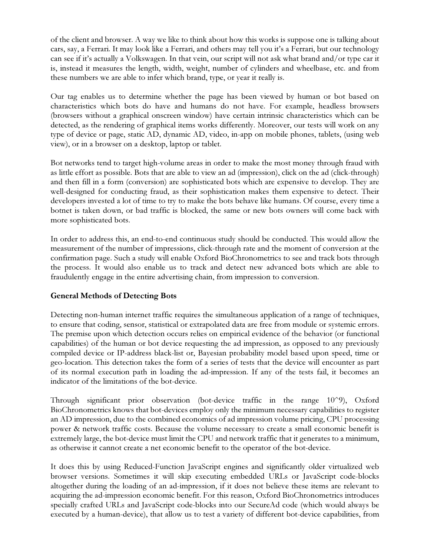of the client and browser. A way we like to think about how this works is suppose one is talking about cars, say, a Ferrari. It may look like a Ferrari, and others may tell you it's a Ferrari, but our technology can see if it's actually a Volkswagen. In that vein, our script will not ask what brand and/or type car it is, instead it measures the length, width, weight, number of cylinders and wheelbase, etc. and from these numbers we are able to infer which brand, type, or year it really is.

Our tag enables us to determine whether the page has been viewed by human or bot based on characteristics which bots do have and humans do not have. For example, headless browsers (browsers without a graphical onscreen window) have certain intrinsic characteristics which can be detected, as the rendering of graphical items works differently. Moreover, our tests will work on any type of device or page, static AD, dynamic AD, video, in-app on mobile phones, tablets, (using web view), or in a browser on a desktop, laptop or tablet.

Bot networks tend to target high-volume areas in order to make the most money through fraud with as little effort as possible. Bots that are able to view an ad (impression), click on the ad (click-through) and then fill in a form (conversion) are sophisticated bots which are expensive to develop. They are well-designed for conducting fraud, as their sophistication makes them expensive to detect. Their developers invested a lot of time to try to make the bots behave like humans. Of course, every time a botnet is taken down, or bad traffic is blocked, the same or new bots owners will come back with more sophisticated bots.

In order to address this, an end-to-end continuous study should be conducted. This would allow the measurement of the number of impressions, click-through rate and the moment of conversion at the confirmation page. Such a study will enable Oxford BioChronometrics to see and track bots through the process. It would also enable us to track and detect new advanced bots which are able to fraudulently engage in the entire advertising chain, from impression to conversion.

#### General Methods of Detecting Bots

Detecting non-human internet traffic requires the simultaneous application of a range of techniques, to ensure that coding, sensor, statistical or extrapolated data are free from module or systemic errors. The premise upon which detection occurs relies on empirical evidence of the behavior (or functional capabilities) of the human or bot device requesting the ad impression, as opposed to any previously compiled device or IP-address black-list or, Bayesian probability model based upon speed, time or geo-location. This detection takes the form of a series of tests that the device will encounter as part of its normal execution path in loading the ad-impression. If any of the tests fail, it becomes an indicator of the limitations of the bot-device.

Through significant prior observation (bot-device traffic in the range 10^9), Oxford BioChronometrics knows that bot-devices employ only the minimum necessary capabilities to register an AD impression, due to the combined economics of ad impression volume pricing, CPU processing power & network traffic costs. Because the volume necessary to create a small economic benefit is extremely large, the bot-device must limit the CPU and network traffic that it generates to a minimum, as otherwise it cannot create a net economic benefit to the operator of the bot-device.

It does this by using Reduced-Function JavaScript engines and significantly older virtualized web browser versions. Sometimes it will skip executing embedded URLs or JavaScript code-blocks altogether during the loading of an ad-impression, if it does not believe these items are relevant to acquiring the ad-impression economic benefit. For this reason, Oxford BioChronometrics introduces specially crafted URLs and JavaScript code-blocks into our SecureAd code (which would always be executed by a human-device), that allow us to test a variety of different bot-device capabilities, from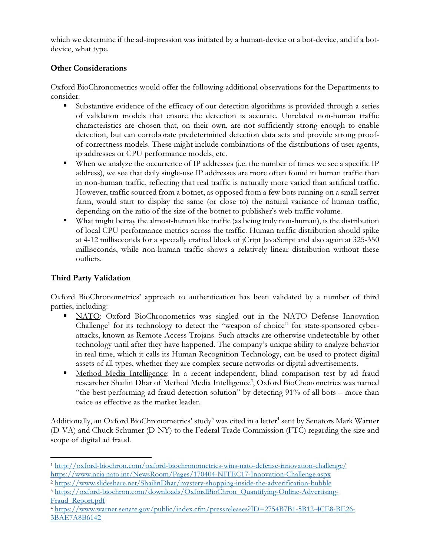which we determine if the ad-impression was initiated by a human-device or a bot-device, and if a botdevice, what type.

# Other Considerations

Oxford BioChronometrics would offer the following additional observations for the Departments to consider:

- Substantive evidence of the efficacy of our detection algorithms is provided through a series of validation models that ensure the detection is accurate. Unrelated non-human traffic characteristics are chosen that, on their own, are not sufficiently strong enough to enable detection, but can corroborate predetermined detection data sets and provide strong proofof-correctness models. These might include combinations of the distributions of user agents, ip addresses or CPU performance models, etc.
- When we analyze the occurrence of IP addresses (i.e. the number of times we see a specific IP address), we see that daily single-use IP addresses are more often found in human traffic than in non-human traffic, reflecting that real traffic is naturally more varied than artificial traffic. However, traffic sourced from a botnet, as opposed from a few bots running on a small server farm, would start to display the same (or close to) the natural variance of human traffic, depending on the ratio of the size of the botnet to publisher's web traffic volume.
- What might betray the almost-human like traffic (as being truly non-human), is the distribution of local CPU performance metrics across the traffic. Human traffic distribution should spike at 4-12 milliseconds for a specially crafted block of jCript JavaScript and also again at 325-350 milliseconds, while non-human traffic shows a relatively linear distribution without these outliers.

# Third Party Validation

 $\overline{a}$ 

Oxford BioChronometrics' approach to authentication has been validated by a number of third parties, including:

- NATO: Oxford BioChronometrics was singled out in the NATO Defense Innovation Challenge<sup>1</sup> for its technology to detect the "weapon of choice" for state-sponsored cyberattacks, known as Remote Access Trojans. Such attacks are otherwise undetectable by other technology until after they have happened. The company's unique ability to analyze behavior in real time, which it calls its Human Recognition Technology, can be used to protect digital assets of all types, whether they are complex secure networks or digital advertisements.
- **Method Media Intelligence:** In a recent independent, blind comparison test by ad fraud researcher Shailin Dhar of Method Media Intelligence<sup>2</sup>, Oxford BioChonometrics was named "the best performing ad fraud detection solution" by detecting 91% of all bots – more than twice as effective as the market leader.

Additionally, an Oxford BioChronometrics' study<sup>3</sup> was cited in a letter<sup>4</sup> sent by Senators Mark Warner (D-VA) and Chuck Schumer (D-NY) to the Federal Trade Commission (FTC) regarding the size and scope of digital ad fraud.

<sup>1</sup> http://oxford-biochron.com/oxford-biochronometrics-wins-nato-defense-innovation-challenge/

https://www.ncia.nato.int/NewsRoom/Pages/170404-NITEC17-Innovation-Challenge.aspx

<sup>2</sup> https://www.slideshare.net/ShailinDhar/mystery-shopping-inside-the-adverification-bubble

<sup>3</sup> https://oxford-biochron.com/downloads/OxfordBioChron\_Quantifying-Online-Advertising-Fraud\_Report.pdf

<sup>4</sup> https://www.warner.senate.gov/public/index.cfm/pressreleases?ID=2754B7B1-5B12-4CE8-BE26- 3BAE7A8B6142